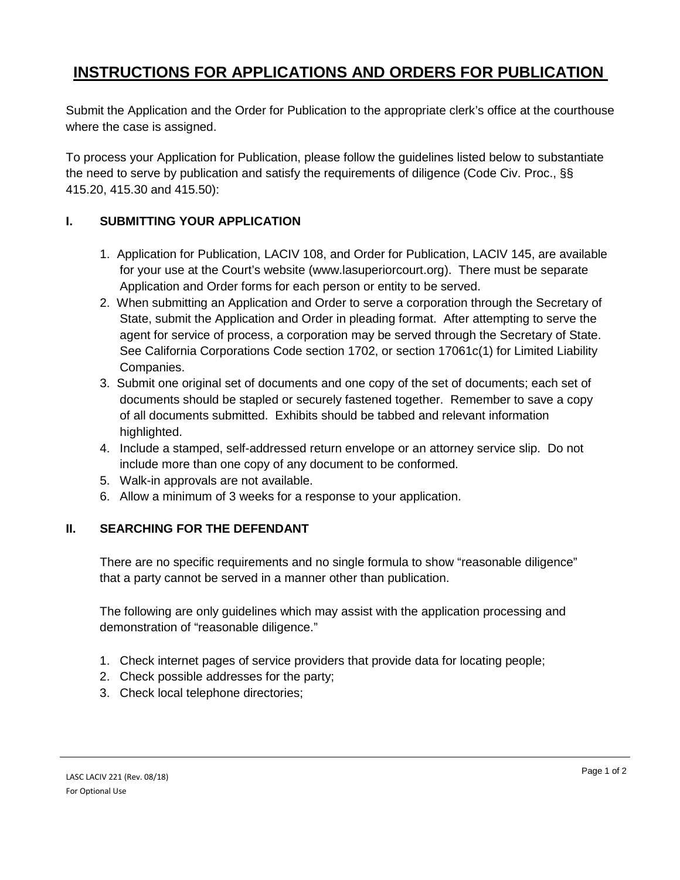# **INSTRUCTIONS FOR APPLICATIONS AND ORDERS FOR PUBLICATION**

Submit the Application and the Order for Publication to the appropriate clerk's office at the courthouse where the case is assigned.

To process your Application for Publication, please follow the guidelines listed below to substantiate the need to serve by publication and satisfy the requirements of diligence (Code Civ. Proc., §§ 415.20, 415.30 and 415.50):

# **I. SUBMITTING YOUR APPLICATION**

- 1. Application for Publication, LACIV 108, and Order for Publication, LACIV 145, are available for your use at the Court's website (www.lasuperiorcourt.org). There must be separate Application and Order forms for each person or entity to be served.
- 2. When submitting an Application and Order to serve a corporation through the Secretary of State, submit the Application and Order in pleading format. After attempting to serve the agent for service of process, a corporation may be served through the Secretary of State. See California Corporations Code section 1702, or section 17061c(1) for Limited Liability Companies.
- 3. Submit one original set of documents and one copy of the set of documents; each set of documents should be stapled or securely fastened together. Remember to save a copy of all documents submitted. Exhibits should be tabbed and relevant information highlighted.
- 4. Include a stamped, self-addressed return envelope or an attorney service slip. Do not include more than one copy of any document to be conformed.
- 5. Walk-in approvals are not available.
- 6. Allow a minimum of 3 weeks for a response to your application.

# **II. SEARCHING FOR THE DEFENDANT**

There are no specific requirements and no single formula to show "reasonable diligence" that a party cannot be served in a manner other than publication.

The following are only guidelines which may assist with the application processing and demonstration of "reasonable diligence."

- 1. Check internet pages of service providers that provide data for locating people;
- 2. Check possible addresses for the party;
- 3. Check local telephone directories;